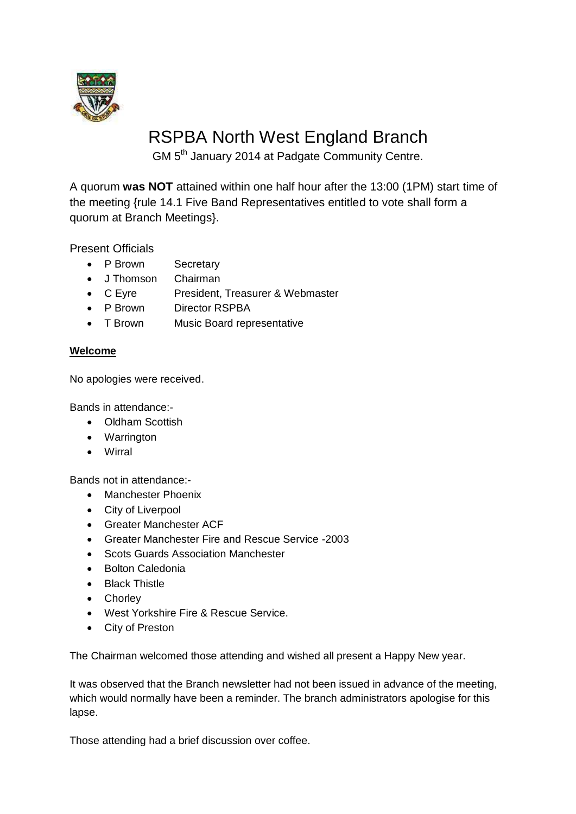

## RSPBA North West England Branch

GM 5<sup>th</sup> January 2014 at Padgate Community Centre.

A quorum **was NOT** attained within one half hour after the 13:00 (1PM) start time of the meeting {rule 14.1 Five Band Representatives entitled to vote shall form a quorum at Branch Meetings}.

Present Officials

- P Brown Secretary
- J Thomson Chairman
- C Eyre President, Treasurer & Webmaster
- P Brown Director RSPBA
- T Brown Music Board representative

## **Welcome**

No apologies were received.

Bands in attendance:-

- Oldham Scottish
- Warrington
- Wirral

Bands not in attendance:-

- Manchester Phoenix
- City of Liverpool
- Greater Manchester ACF
- Greater Manchester Fire and Rescue Service -2003
- Scots Guards Association Manchester
- Bolton Caledonia
- Black Thistle
- Chorley
- West Yorkshire Fire & Rescue Service.
- City of Preston

The Chairman welcomed those attending and wished all present a Happy New year.

It was observed that the Branch newsletter had not been issued in advance of the meeting, which would normally have been a reminder. The branch administrators apologise for this lapse.

Those attending had a brief discussion over coffee.